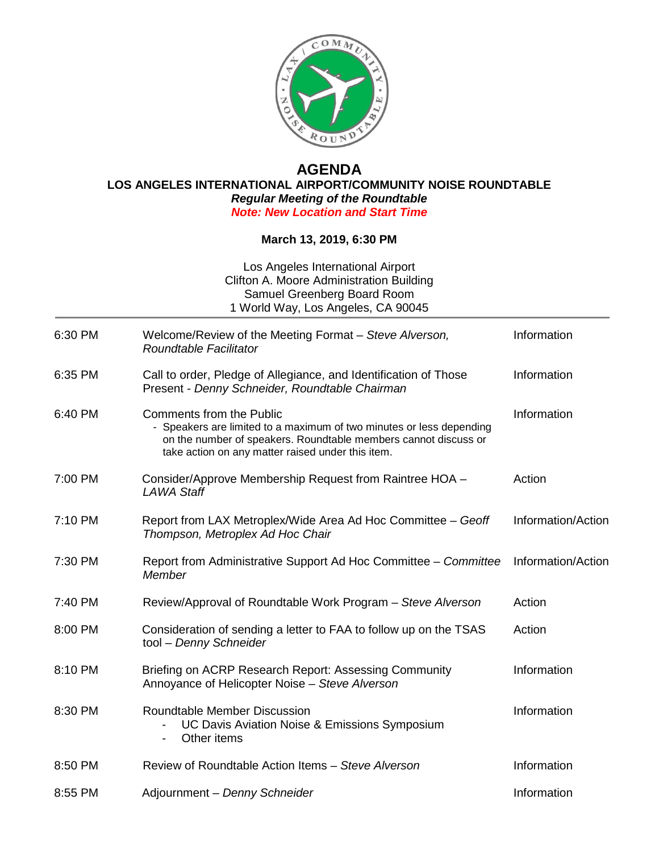

## **AGENDA**

**LOS ANGELES INTERNATIONAL AIRPORT/COMMUNITY NOISE ROUNDTABLE** *Regular Meeting of the Roundtable* 

*Note: New Location and Start Time*

## **March 13, 2019, 6:30 PM**

| Los Angeles International Airport<br>Clifton A. Moore Administration Building<br>Samuel Greenberg Board Room<br>1 World Way, Los Angeles, CA 90045 |                                                                                                                                                                                                                                 |                    |
|----------------------------------------------------------------------------------------------------------------------------------------------------|---------------------------------------------------------------------------------------------------------------------------------------------------------------------------------------------------------------------------------|--------------------|
| 6:30 PM                                                                                                                                            | Welcome/Review of the Meeting Format - Steve Alverson,<br>Roundtable Facilitator                                                                                                                                                | Information        |
| 6:35 PM                                                                                                                                            | Call to order, Pledge of Allegiance, and Identification of Those<br>Present - Denny Schneider, Roundtable Chairman                                                                                                              | Information        |
| 6:40 PM                                                                                                                                            | <b>Comments from the Public</b><br>- Speakers are limited to a maximum of two minutes or less depending<br>on the number of speakers. Roundtable members cannot discuss or<br>take action on any matter raised under this item. | Information        |
| 7:00 PM                                                                                                                                            | Consider/Approve Membership Request from Raintree HOA -<br>LAWA Staff                                                                                                                                                           | Action             |
| 7:10 PM                                                                                                                                            | Report from LAX Metroplex/Wide Area Ad Hoc Committee - Geoff<br>Thompson, Metroplex Ad Hoc Chair                                                                                                                                | Information/Action |
| 7:30 PM                                                                                                                                            | Report from Administrative Support Ad Hoc Committee - Committee<br>Member                                                                                                                                                       | Information/Action |
| 7:40 PM                                                                                                                                            | Review/Approval of Roundtable Work Program - Steve Alverson                                                                                                                                                                     | Action             |
| 8:00 PM                                                                                                                                            | Consideration of sending a letter to FAA to follow up on the TSAS<br>tool - Denny Schneider                                                                                                                                     | Action             |
| 8:10 PM                                                                                                                                            | Briefing on ACRP Research Report: Assessing Community<br>Annoyance of Helicopter Noise - Steve Alverson                                                                                                                         | Information        |
| 8:30 PM                                                                                                                                            | <b>Roundtable Member Discussion</b><br>UC Davis Aviation Noise & Emissions Symposium<br>Other items                                                                                                                             | Information        |
| 8:50 PM                                                                                                                                            | Review of Roundtable Action Items - Steve Alverson                                                                                                                                                                              | Information        |
| 8:55 PM                                                                                                                                            | Adjournment - Denny Schneider                                                                                                                                                                                                   | Information        |